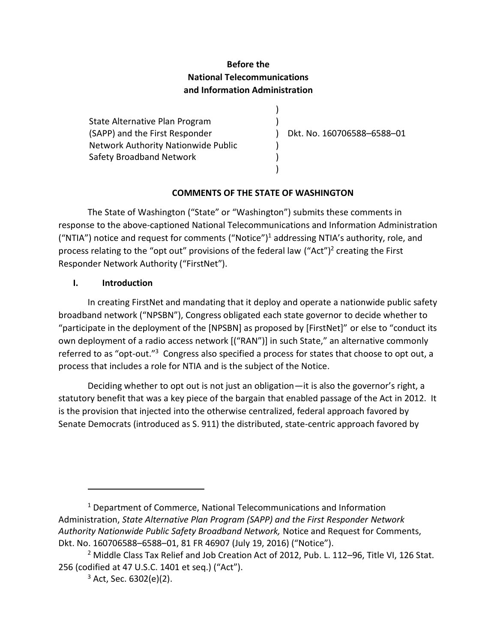## **Before the National Telecommunications and Information Administration**

State Alternative Plan Program (SAPP) and the First Responder Network Authority Nationwide Public Safety Broadband Network

) Dkt. No. 160706588–6588–01

#### **COMMENTS OF THE STATE OF WASHINGTON**

 $\lambda$  $\lambda$ 

 $\lambda$  $\lambda$ )

The State of Washington ("State" or "Washington") submits these comments in response to the above-captioned National Telecommunications and Information Administration ("NTIA") notice and request for comments ("Notice")<sup>1</sup> addressing NTIA's authority, role, and process relating to the "opt out" provisions of the federal law  $("Act")^2$  creating the First Responder Network Authority ("FirstNet").

#### **I. Introduction**

In creating FirstNet and mandating that it deploy and operate a nationwide public safety broadband network ("NPSBN"), Congress obligated each state governor to decide whether to "participate in the deployment of the [NPSBN] as proposed by [FirstNet]" or else to "conduct its own deployment of a radio access network [("RAN")] in such State," an alternative commonly referred to as "opt-out."<sup>3</sup> Congress also specified a process for states that choose to opt out, a process that includes a role for NTIA and is the subject of the Notice.

Deciding whether to opt out is not just an obligation—it is also the governor's right, a statutory benefit that was a key piece of the bargain that enabled passage of the Act in 2012. It is the provision that injected into the otherwise centralized, federal approach favored by Senate Democrats (introduced as S. 911) the distributed, state-centric approach favored by

<sup>&</sup>lt;sup>1</sup> Department of Commerce, National Telecommunications and Information Administration, *State Alternative Plan Program (SAPP) and the First Responder Network Authority Nationwide Public Safety Broadband Network,* Notice and Request for Comments, Dkt. No. 160706588–6588–01, 81 FR 46907 (July 19, 2016) ("Notice").

<sup>&</sup>lt;sup>2</sup> Middle Class Tax Relief and Job Creation Act of 2012, Pub. L. 112-96, Title VI, 126 Stat. 256 (codified at 47 U.S.C. 1401 et seq.) ("Act").

 $3$  Act, Sec. 6302(e)(2).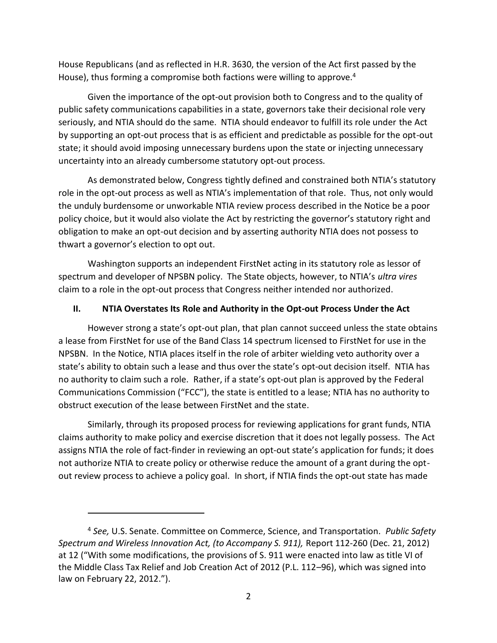House Republicans (and as reflected in H.R. 3630, the version of the Act first passed by the House), thus forming a compromise both factions were willing to approve.<sup>4</sup>

Given the importance of the opt-out provision both to Congress and to the quality of public safety communications capabilities in a state, governors take their decisional role very seriously, and NTIA should do the same. NTIA should endeavor to fulfill its role under the Act by supporting an opt-out process that is as efficient and predictable as possible for the opt-out state; it should avoid imposing unnecessary burdens upon the state or injecting unnecessary uncertainty into an already cumbersome statutory opt-out process.

As demonstrated below, Congress tightly defined and constrained both NTIA's statutory role in the opt-out process as well as NTIA's implementation of that role. Thus, not only would the unduly burdensome or unworkable NTIA review process described in the Notice be a poor policy choice, but it would also violate the Act by restricting the governor's statutory right and obligation to make an opt-out decision and by asserting authority NTIA does not possess to thwart a governor's election to opt out.

Washington supports an independent FirstNet acting in its statutory role as lessor of spectrum and developer of NPSBN policy. The State objects, however, to NTIA's *ultra vires* claim to a role in the opt-out process that Congress neither intended nor authorized.

#### **II. NTIA Overstates Its Role and Authority in the Opt-out Process Under the Act**

However strong a state's opt-out plan, that plan cannot succeed unless the state obtains a lease from FirstNet for use of the Band Class 14 spectrum licensed to FirstNet for use in the NPSBN. In the Notice, NTIA places itself in the role of arbiter wielding veto authority over a state's ability to obtain such a lease and thus over the state's opt-out decision itself. NTIA has no authority to claim such a role. Rather, if a state's opt-out plan is approved by the Federal Communications Commission ("FCC"), the state is entitled to a lease; NTIA has no authority to obstruct execution of the lease between FirstNet and the state.

Similarly, through its proposed process for reviewing applications for grant funds, NTIA claims authority to make policy and exercise discretion that it does not legally possess. The Act assigns NTIA the role of fact-finder in reviewing an opt-out state's application for funds; it does not authorize NTIA to create policy or otherwise reduce the amount of a grant during the optout review process to achieve a policy goal. In short, if NTIA finds the opt-out state has made

<sup>4</sup> *See,* U.S. Senate. Committee on Commerce, Science, and Transportation. *Public Safety Spectrum and Wireless Innovation Act, (to Accompany S. 911),* Report 112-260 (Dec. 21, 2012) at 12 ("With some modifications, the provisions of S. 911 were enacted into law as title VI of the Middle Class Tax Relief and Job Creation Act of 2012 (P.L. 112–96), which was signed into law on February 22, 2012.").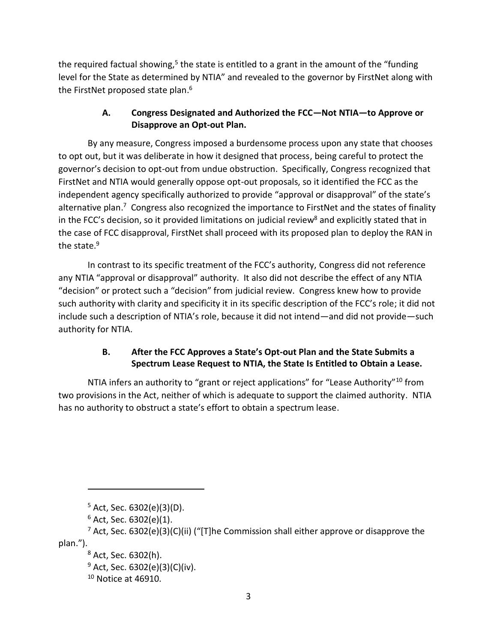the required factual showing,<sup>5</sup> the state is entitled to a grant in the amount of the "funding level for the State as determined by NTIA" and revealed to the governor by FirstNet along with the FirstNet proposed state plan.<sup>6</sup>

### **A. Congress Designated and Authorized the FCC—Not NTIA—to Approve or Disapprove an Opt-out Plan.**

By any measure, Congress imposed a burdensome process upon any state that chooses to opt out, but it was deliberate in how it designed that process, being careful to protect the governor's decision to opt-out from undue obstruction. Specifically, Congress recognized that FirstNet and NTIA would generally oppose opt-out proposals, so it identified the FCC as the independent agency specifically authorized to provide "approval or disapproval" of the state's alternative plan.<sup>7</sup> Congress also recognized the importance to FirstNet and the states of finality in the FCC's decision, so it provided limitations on judicial review<sup>8</sup> and explicitly stated that in the case of FCC disapproval, FirstNet shall proceed with its proposed plan to deploy the RAN in the state.<sup>9</sup>

In contrast to its specific treatment of the FCC's authority, Congress did not reference any NTIA "approval or disapproval" authority. It also did not describe the effect of any NTIA "decision" or protect such a "decision" from judicial review. Congress knew how to provide such authority with clarity and specificity it in its specific description of the FCC's role; it did not include such a description of NTIA's role, because it did not intend—and did not provide—such authority for NTIA.

## **B. After the FCC Approves a State's Opt-out Plan and the State Submits a Spectrum Lease Request to NTIA, the State Is Entitled to Obtain a Lease.**

NTIA infers an authority to "grant or reject applications" for "Lease Authority"<sup>10</sup> from two provisions in the Act, neither of which is adequate to support the claimed authority. NTIA has no authority to obstruct a state's effort to obtain a spectrum lease.

 $5$  Act, Sec. 6302(e)(3)(D).

 $6$  Act, Sec. 6302(e)(1).

 $7$  Act, Sec. 6302(e)(3)(C)(ii) ("[T]he Commission shall either approve or disapprove the plan.").

<sup>8</sup> Act, Sec. 6302(h).

 $9$  Act, Sec. 6302(e)(3)(C)(iv).

<sup>10</sup> Notice at 46910.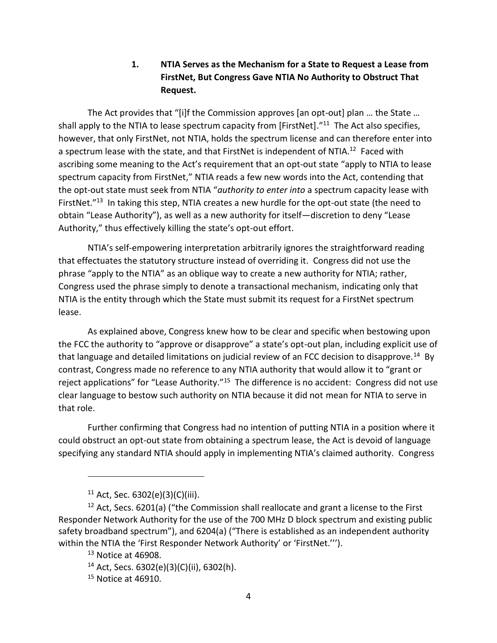### **1. NTIA Serves as the Mechanism for a State to Request a Lease from FirstNet, But Congress Gave NTIA No Authority to Obstruct That Request.**

The Act provides that "[i]f the Commission approves [an opt-out] plan … the State … shall apply to the NTIA to lease spectrum capacity from [FirstNet]."<sup>11</sup> The Act also specifies, however, that only FirstNet, not NTIA, holds the spectrum license and can therefore enter into a spectrum lease with the state, and that FirstNet is independent of NTIA.<sup>12</sup> Faced with ascribing some meaning to the Act's requirement that an opt-out state "apply to NTIA to lease spectrum capacity from FirstNet," NTIA reads a few new words into the Act, contending that the opt-out state must seek from NTIA "*authority to enter into* a spectrum capacity lease with FirstNet."<sup>13</sup> In taking this step, NTIA creates a new hurdle for the opt-out state (the need to obtain "Lease Authority"), as well as a new authority for itself—discretion to deny "Lease Authority," thus effectively killing the state's opt-out effort.

NTIA's self-empowering interpretation arbitrarily ignores the straightforward reading that effectuates the statutory structure instead of overriding it. Congress did not use the phrase "apply to the NTIA" as an oblique way to create a new authority for NTIA; rather, Congress used the phrase simply to denote a transactional mechanism, indicating only that NTIA is the entity through which the State must submit its request for a FirstNet spectrum lease.

As explained above, Congress knew how to be clear and specific when bestowing upon the FCC the authority to "approve or disapprove" a state's opt-out plan, including explicit use of that language and detailed limitations on judicial review of an FCC decision to disapprove.<sup>14</sup> By contrast, Congress made no reference to any NTIA authority that would allow it to "grant or reject applications" for "Lease Authority."<sup>15</sup> The difference is no accident: Congress did not use clear language to bestow such authority on NTIA because it did not mean for NTIA to serve in that role.

Further confirming that Congress had no intention of putting NTIA in a position where it could obstruct an opt-out state from obtaining a spectrum lease, the Act is devoid of language specifying any standard NTIA should apply in implementing NTIA's claimed authority. Congress

 $11$  Act, Sec. 6302(e)(3)(C)(iii).

 $12$  Act, Secs. 6201(a) ("the Commission shall reallocate and grant a license to the First Responder Network Authority for the use of the 700 MHz D block spectrum and existing public safety broadband spectrum"), and 6204(a) ("There is established as an independent authority within the NTIA the 'First Responder Network Authority' or 'FirstNet.''').

<sup>&</sup>lt;sup>13</sup> Notice at 46908.

 $14$  Act, Secs. 6302(e)(3)(C)(ii), 6302(h).

<sup>15</sup> Notice at 46910.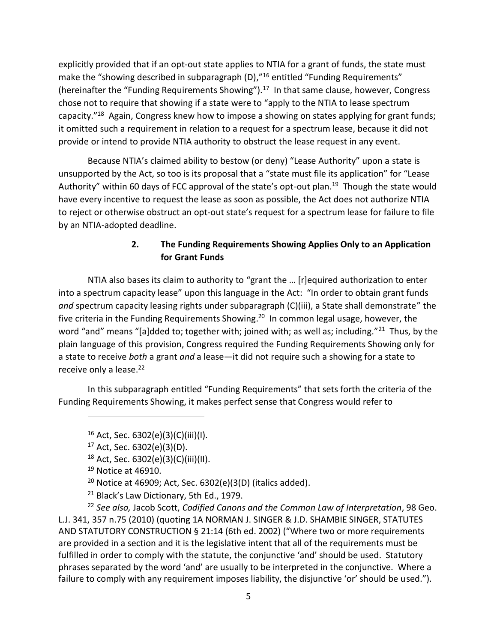explicitly provided that if an opt-out state applies to NTIA for a grant of funds, the state must make the "showing described in subparagraph (D),"<sup>16</sup> entitled "Funding Requirements" (hereinafter the "Funding Requirements Showing").<sup>17</sup> In that same clause, however, Congress chose not to require that showing if a state were to "apply to the NTIA to lease spectrum capacity."<sup>18</sup> Again, Congress knew how to impose a showing on states applying for grant funds; it omitted such a requirement in relation to a request for a spectrum lease, because it did not provide or intend to provide NTIA authority to obstruct the lease request in any event.

Because NTIA's claimed ability to bestow (or deny) "Lease Authority" upon a state is unsupported by the Act, so too is its proposal that a "state must file its application" for "Lease Authority" within 60 days of FCC approval of the state's opt-out plan.<sup>19</sup> Though the state would have every incentive to request the lease as soon as possible, the Act does not authorize NTIA to reject or otherwise obstruct an opt-out state's request for a spectrum lease for failure to file by an NTIA-adopted deadline.

### **2. The Funding Requirements Showing Applies Only to an Application for Grant Funds**

NTIA also bases its claim to authority to "grant the … [r]equired authorization to enter into a spectrum capacity lease" upon this language in the Act: "In order to obtain grant funds *and* spectrum capacity leasing rights under subparagraph (C)(iii), a State shall demonstrate" the five criteria in the Funding Requirements Showing. 20 In common legal usage, however, the word "and" means "[a]dded to; together with; joined with; as well as; including."<sup>21</sup> Thus, by the plain language of this provision, Congress required the Funding Requirements Showing only for a state to receive *both* a grant *and* a lease—it did not require such a showing for a state to receive only a lease.<sup>22</sup>

In this subparagraph entitled "Funding Requirements" that sets forth the criteria of the Funding Requirements Showing, it makes perfect sense that Congress would refer to

 $\overline{a}$ 

<sup>22</sup> *See also,* Jacob Scott, *Codified Canons and the Common Law of Interpretation*, 98 Geo. L.J. 341, 357 n.75 (2010) (quoting 1A NORMAN J. SINGER & J.D. SHAMBIE SINGER, STATUTES AND STATUTORY CONSTRUCTION § 21:14 (6th ed. 2002) ("Where two or more requirements are provided in a section and it is the legislative intent that all of the requirements must be fulfilled in order to comply with the statute, the conjunctive 'and' should be used. Statutory phrases separated by the word 'and' are usually to be interpreted in the conjunctive. Where a failure to comply with any requirement imposes liability, the disjunctive 'or' should be used.").

 $16$  Act, Sec. 6302(e)(3)(C)(iii)(l).

<sup>17</sup> Act, Sec. 6302(e)(3)(D).

<sup>18</sup> Act, Sec. 6302(e)(3)(C)(iii)(II).

<sup>19</sup> Notice at 46910.

 $20$  Notice at 46909; Act, Sec. 6302(e)(3(D) (italics added).

<sup>&</sup>lt;sup>21</sup> Black's Law Dictionary, 5th Ed., 1979.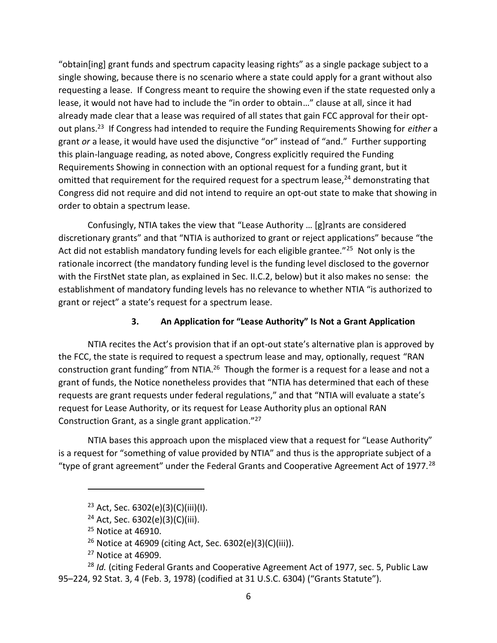"obtain[ing] grant funds and spectrum capacity leasing rights" as a single package subject to a single showing, because there is no scenario where a state could apply for a grant without also requesting a lease. If Congress meant to require the showing even if the state requested only a lease, it would not have had to include the "in order to obtain…" clause at all, since it had already made clear that a lease was required of all states that gain FCC approval for their optout plans.<sup>23</sup> If Congress had intended to require the Funding Requirements Showing for *either* a grant *or* a lease, it would have used the disjunctive "or" instead of "and." Further supporting this plain-language reading, as noted above, Congress explicitly required the Funding Requirements Showing in connection with an optional request for a funding grant, but it omitted that requirement for the required request for a spectrum lease, $^{24}$  demonstrating that Congress did not require and did not intend to require an opt-out state to make that showing in order to obtain a spectrum lease.

Confusingly, NTIA takes the view that "Lease Authority … [g]rants are considered discretionary grants" and that "NTIA is authorized to grant or reject applications" because "the Act did not establish mandatory funding levels for each eligible grantee."<sup>25</sup> Not only is the rationale incorrect (the mandatory funding level is the funding level disclosed to the governor with the FirstNet state plan, as explained in Sec. II.C.2, below) but it also makes no sense: the establishment of mandatory funding levels has no relevance to whether NTIA "is authorized to grant or reject" a state's request for a spectrum lease.

### **3. An Application for "Lease Authority" Is Not a Grant Application**

NTIA recites the Act's provision that if an opt-out state's alternative plan is approved by the FCC, the state is required to request a spectrum lease and may, optionally, request "RAN construction grant funding" from NTIA.<sup>26</sup> Though the former is a request for a lease and not a grant of funds, the Notice nonetheless provides that "NTIA has determined that each of these requests are grant requests under federal regulations," and that "NTIA will evaluate a state's request for Lease Authority, or its request for Lease Authority plus an optional RAN Construction Grant, as a single grant application."<sup>27</sup>

NTIA bases this approach upon the misplaced view that a request for "Lease Authority" is a request for "something of value provided by NTIA" and thus is the appropriate subject of a "type of grant agreement" under the Federal Grants and Cooperative Agreement Act of 1977.<sup>28</sup>

<sup>23</sup> Act, Sec. 6302(e)(3)(C)(iii)(I).

<sup>24</sup> Act, Sec. 6302(e)(3)(C)(iii).

<sup>&</sup>lt;sup>25</sup> Notice at 46910.

<sup>26</sup> Notice at 46909 (citing Act, Sec. 6302(e)(3)(C)(iii)).

 $27$  Notice at 46909.

<sup>&</sup>lt;sup>28</sup> *Id.* (citing Federal Grants and Cooperative Agreement Act of 1977, sec. 5, Public Law 95–224, 92 Stat. 3, 4 (Feb. 3, 1978) (codified at 31 U.S.C. 6304) ("Grants Statute").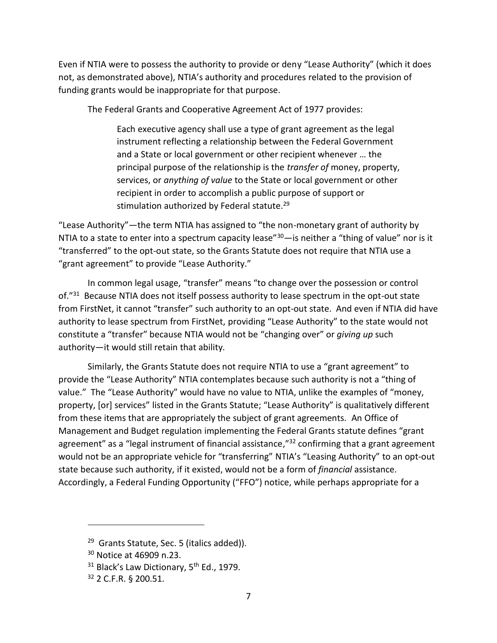Even if NTIA were to possess the authority to provide or deny "Lease Authority" (which it does not, as demonstrated above), NTIA's authority and procedures related to the provision of funding grants would be inappropriate for that purpose.

The Federal Grants and Cooperative Agreement Act of 1977 provides:

Each executive agency shall use a type of grant agreement as the legal instrument reflecting a relationship between the Federal Government and a State or local government or other recipient whenever … the principal purpose of the relationship is the *transfer of* money, property, services, or *anything of value* to the State or local government or other recipient in order to accomplish a public purpose of support or stimulation authorized by Federal statute. 29

"Lease Authority"—the term NTIA has assigned to "the non-monetary grant of authority by NTIA to a state to enter into a spectrum capacity lease" $30$ —is neither a "thing of value" nor is it "transferred" to the opt-out state, so the Grants Statute does not require that NTIA use a "grant agreement" to provide "Lease Authority."

In common legal usage, "transfer" means "to change over the possession or control of."<sup>31</sup> Because NTIA does not itself possess authority to lease spectrum in the opt-out state from FirstNet, it cannot "transfer" such authority to an opt-out state. And even if NTIA did have authority to lease spectrum from FirstNet, providing "Lease Authority" to the state would not constitute a "transfer" because NTIA would not be "changing over" or *giving up* such authority—it would still retain that ability.

Similarly, the Grants Statute does not require NTIA to use a "grant agreement" to provide the "Lease Authority" NTIA contemplates because such authority is not a "thing of value." The "Lease Authority" would have no value to NTIA, unlike the examples of "money, property, [or] services" listed in the Grants Statute; "Lease Authority" is qualitatively different from these items that are appropriately the subject of grant agreements. An Office of Management and Budget regulation implementing the Federal Grants statute defines "grant agreement" as a "legal instrument of financial assistance,"<sup>32</sup> confirming that a grant agreement would not be an appropriate vehicle for "transferring" NTIA's "Leasing Authority" to an opt-out state because such authority, if it existed, would not be a form of *financial* assistance. Accordingly, a Federal Funding Opportunity ("FFO") notice, while perhaps appropriate for a

<sup>&</sup>lt;sup>29</sup> Grants Statute, Sec. 5 (italics added)).

<sup>30</sup> Notice at 46909 n.23.

 $31$  Black's Law Dictionary, 5<sup>th</sup> Ed., 1979.

<sup>32</sup> 2 C.F.R. § 200.51.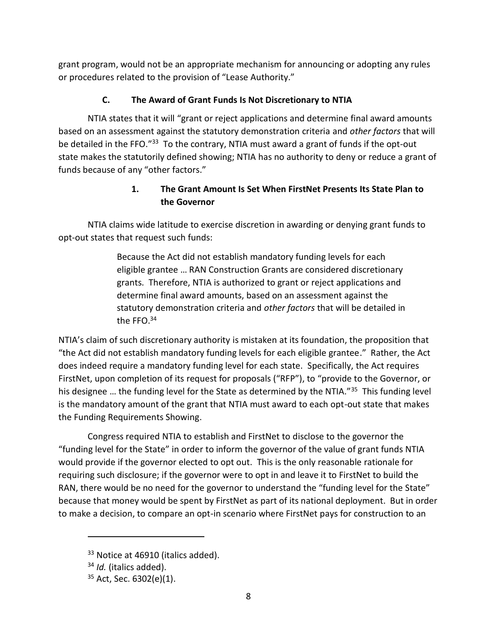grant program, would not be an appropriate mechanism for announcing or adopting any rules or procedures related to the provision of "Lease Authority."

# **C. The Award of Grant Funds Is Not Discretionary to NTIA**

NTIA states that it will "grant or reject applications and determine final award amounts based on an assessment against the statutory demonstration criteria and *other factors* that will be detailed in the FFO."<sup>33</sup> To the contrary, NTIA must award a grant of funds if the opt-out state makes the statutorily defined showing; NTIA has no authority to deny or reduce a grant of funds because of any "other factors."

# **1. The Grant Amount Is Set When FirstNet Presents Its State Plan to the Governor**

NTIA claims wide latitude to exercise discretion in awarding or denying grant funds to opt-out states that request such funds:

> Because the Act did not establish mandatory funding levels for each eligible grantee … RAN Construction Grants are considered discretionary grants. Therefore, NTIA is authorized to grant or reject applications and determine final award amounts, based on an assessment against the statutory demonstration criteria and *other factors* that will be detailed in the FFO. $34$

NTIA's claim of such discretionary authority is mistaken at its foundation, the proposition that "the Act did not establish mandatory funding levels for each eligible grantee." Rather, the Act does indeed require a mandatory funding level for each state. Specifically, the Act requires FirstNet, upon completion of its request for proposals ("RFP"), to "provide to the Governor, or his designee ... the funding level for the State as determined by the NTIA."<sup>35</sup> This funding level is the mandatory amount of the grant that NTIA must award to each opt-out state that makes the Funding Requirements Showing.

Congress required NTIA to establish and FirstNet to disclose to the governor the "funding level for the State" in order to inform the governor of the value of grant funds NTIA would provide if the governor elected to opt out. This is the only reasonable rationale for requiring such disclosure; if the governor were to opt in and leave it to FirstNet to build the RAN, there would be no need for the governor to understand the "funding level for the State" because that money would be spent by FirstNet as part of its national deployment. But in order to make a decision, to compare an opt-in scenario where FirstNet pays for construction to an

<sup>&</sup>lt;sup>33</sup> Notice at 46910 (italics added).

<sup>34</sup> *Id.* (italics added).

<sup>35</sup> Act, Sec. 6302(e)(1).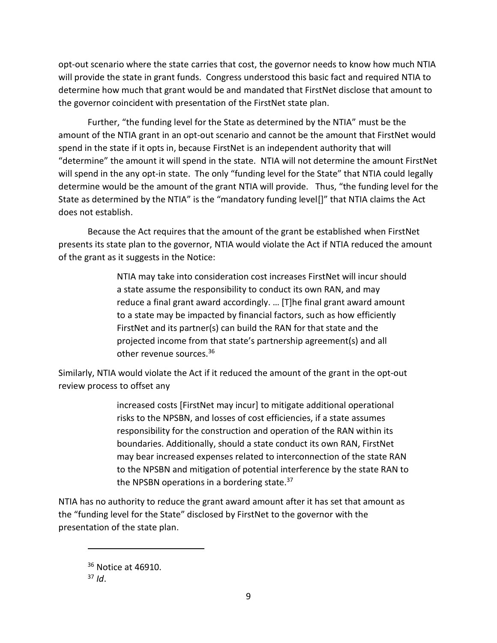opt-out scenario where the state carries that cost, the governor needs to know how much NTIA will provide the state in grant funds. Congress understood this basic fact and required NTIA to determine how much that grant would be and mandated that FirstNet disclose that amount to the governor coincident with presentation of the FirstNet state plan.

Further, "the funding level for the State as determined by the NTIA" must be the amount of the NTIA grant in an opt-out scenario and cannot be the amount that FirstNet would spend in the state if it opts in, because FirstNet is an independent authority that will "determine" the amount it will spend in the state. NTIA will not determine the amount FirstNet will spend in the any opt-in state. The only "funding level for the State" that NTIA could legally determine would be the amount of the grant NTIA will provide. Thus, "the funding level for the State as determined by the NTIA" is the "mandatory funding level[]" that NTIA claims the Act does not establish.

Because the Act requires that the amount of the grant be established when FirstNet presents its state plan to the governor, NTIA would violate the Act if NTIA reduced the amount of the grant as it suggests in the Notice:

> NTIA may take into consideration cost increases FirstNet will incur should a state assume the responsibility to conduct its own RAN, and may reduce a final grant award accordingly. … [T]he final grant award amount to a state may be impacted by financial factors, such as how efficiently FirstNet and its partner(s) can build the RAN for that state and the projected income from that state's partnership agreement(s) and all other revenue sources.<sup>36</sup>

Similarly, NTIA would violate the Act if it reduced the amount of the grant in the opt-out review process to offset any

> increased costs [FirstNet may incur] to mitigate additional operational risks to the NPSBN, and losses of cost efficiencies, if a state assumes responsibility for the construction and operation of the RAN within its boundaries. Additionally, should a state conduct its own RAN, FirstNet may bear increased expenses related to interconnection of the state RAN to the NPSBN and mitigation of potential interference by the state RAN to the NPSBN operations in a bordering state.<sup>37</sup>

NTIA has no authority to reduce the grant award amount after it has set that amount as the "funding level for the State" disclosed by FirstNet to the governor with the presentation of the state plan.

<sup>36</sup> Notice at 46910.

 $37$  *Id.*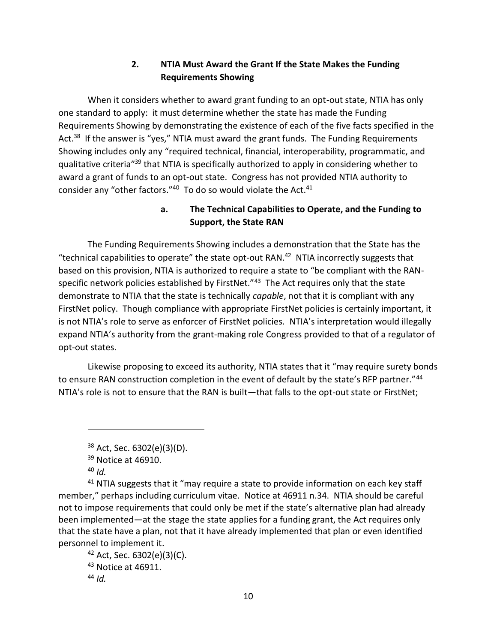## **2. NTIA Must Award the Grant If the State Makes the Funding Requirements Showing**

When it considers whether to award grant funding to an opt-out state, NTIA has only one standard to apply: it must determine whether the state has made the Funding Requirements Showing by demonstrating the existence of each of the five facts specified in the Act.<sup>38</sup> If the answer is "yes," NTIA must award the grant funds. The Funding Requirements Showing includes only any "required technical, financial, interoperability, programmatic, and qualitative criteria<sup>"39</sup> that NTIA is specifically authorized to apply in considering whether to award a grant of funds to an opt-out state. Congress has not provided NTIA authority to consider any "other factors." $40$  To do so would violate the Act. $41$ 

### **a. The Technical Capabilities to Operate, and the Funding to Support, the State RAN**

The Funding Requirements Showing includes a demonstration that the State has the "technical capabilities to operate" the state opt-out RAN. $42$  NTIA incorrectly suggests that based on this provision, NTIA is authorized to require a state to "be compliant with the RANspecific network policies established by FirstNet.<sup>"43</sup> The Act requires only that the state demonstrate to NTIA that the state is technically *capable*, not that it is compliant with any FirstNet policy. Though compliance with appropriate FirstNet policies is certainly important, it is not NTIA's role to serve as enforcer of FirstNet policies. NTIA's interpretation would illegally expand NTIA's authority from the grant-making role Congress provided to that of a regulator of opt-out states.

Likewise proposing to exceed its authority, NTIA states that it "may require surety bonds to ensure RAN construction completion in the event of default by the state's RFP partner."<sup>44</sup> NTIA's role is not to ensure that the RAN is built—that falls to the opt-out state or FirstNet;

 $\overline{a}$ 

 $41$  NTIA suggests that it "may require a state to provide information on each key staff member," perhaps including curriculum vitae. Notice at 46911 n.34. NTIA should be careful not to impose requirements that could only be met if the state's alternative plan had already been implemented—at the stage the state applies for a funding grant, the Act requires only that the state have a plan, not that it have already implemented that plan or even identified personnel to implement it.

 $42$  Act, Sec. 6302(e)(3)(C). <sup>43</sup> Notice at 46911. <sup>44</sup> *Id.*

 $38$  Act, Sec. 6302(e)(3)(D).

<sup>&</sup>lt;sup>39</sup> Notice at 46910.

<sup>40</sup> *Id.*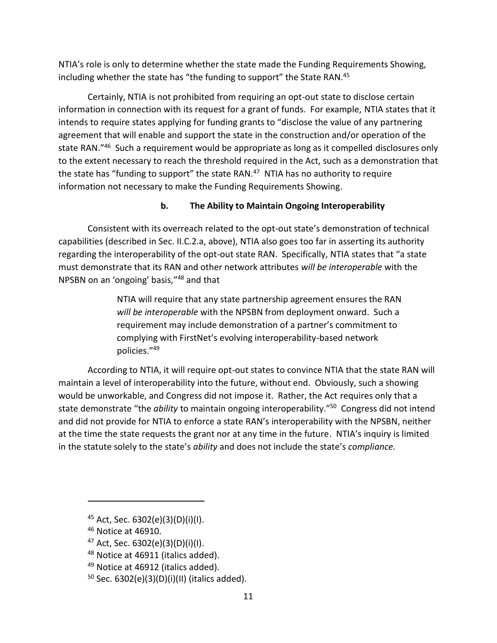NTIA's role is only to determine whether the state made the Funding Requirements Showing, including whether the state has "the funding to support" the State RAN.<sup>45</sup>

Certainly, NTIA is not prohibited from requiring an opt-out state to disclose certain information in connection with its request for a grant of funds. For example, NTIA states that it intends to require states applying for funding grants to "disclose the value of any partnering agreement that will enable and support the state in the construction and/or operation of the state RAN."<sup>46</sup> Such a requirement would be appropriate as long as it compelled disclosures only to the extent necessary to reach the threshold required in the Act, such as a demonstration that the state has "funding to support" the state RAN.<sup>47</sup> NTIA has no authority to require information not necessary to make the Funding Requirements Showing.

## **b. The Ability to Maintain Ongoing Interoperability**

Consistent with its overreach related to the opt-out state's demonstration of technical capabilities (described in Sec. II.C.2.a, above), NTIA also goes too far in asserting its authority regarding the interoperability of the opt-out state RAN. Specifically, NTIA states that "a state must demonstrate that its RAN and other network attributes *will be interoperable* with the NPSBN on an 'ongoing' basis,"<sup>48</sup> and that

> NTIA will require that any state partnership agreement ensures the RAN *will be interoperable* with the NPSBN from deployment onward. Such a requirement may include demonstration of a partner's commitment to complying with FirstNet's evolving interoperability-based network policies."<sup>49</sup>

According to NTIA, it will require opt-out states to convince NTIA that the state RAN will maintain a level of interoperability into the future, without end. Obviously, such a showing would be unworkable, and Congress did not impose it. Rather, the Act requires only that a state demonstrate "the *ability* to maintain ongoing interoperability."<sup>50</sup> Congress did not intend and did not provide for NTIA to enforce a state RAN's interoperability with the NPSBN, neither at the time the state requests the grant nor at any time in the future. NTIA's inquiry is limited in the statute solely to the state's *ability* and does not include the state's *compliance.*

- <sup>47</sup> Act, Sec.  $6302(e)(3)(D)(i)(I)$ .
- 48 Notice at 46911 (italics added).

<sup>&</sup>lt;sup>45</sup> Act, Sec. 6302(e)(3)(D)(i)(I).

<sup>46</sup> Notice at 46910.

<sup>&</sup>lt;sup>49</sup> Notice at 46912 (italics added).

 $50$  Sec. 6302(e)(3)(D)(i)(II) (italics added).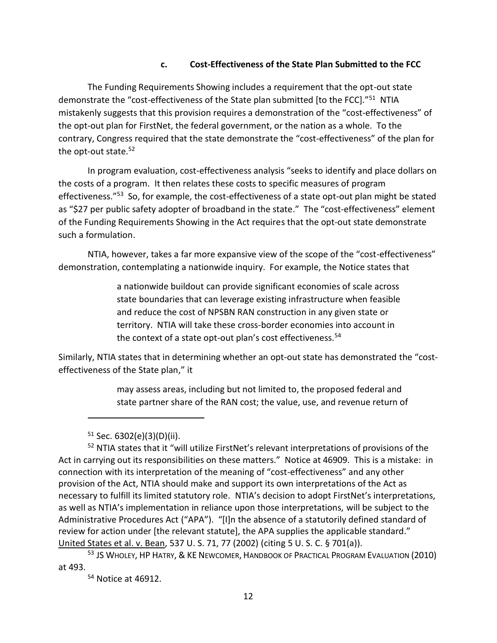#### **c. Cost-Effectiveness of the State Plan Submitted to the FCC**

The Funding Requirements Showing includes a requirement that the opt-out state demonstrate the "cost-effectiveness of the State plan submitted [to the FCC]."<sup>51</sup> NTIA mistakenly suggests that this provision requires a demonstration of the "cost-effectiveness" of the opt-out plan for FirstNet, the federal government, or the nation as a whole. To the contrary, Congress required that the state demonstrate the "cost-effectiveness" of the plan for the opt-out state.<sup>52</sup>

In program evaluation, cost-effectiveness analysis "seeks to identify and place dollars on the costs of a program. It then relates these costs to specific measures of program effectiveness."<sup>53</sup> So, for example, the cost-effectiveness of a state opt-out plan might be stated as "\$27 per public safety adopter of broadband in the state." The "cost-effectiveness" element of the Funding Requirements Showing in the Act requires that the opt-out state demonstrate such a formulation.

NTIA, however, takes a far more expansive view of the scope of the "cost-effectiveness" demonstration, contemplating a nationwide inquiry. For example, the Notice states that

> a nationwide buildout can provide significant economies of scale across state boundaries that can leverage existing infrastructure when feasible and reduce the cost of NPSBN RAN construction in any given state or territory. NTIA will take these cross-border economies into account in the context of a state opt-out plan's cost effectiveness.<sup>54</sup>

Similarly, NTIA states that in determining whether an opt-out state has demonstrated the "costeffectiveness of the State plan," it

> may assess areas, including but not limited to, the proposed federal and state partner share of the RAN cost; the value, use, and revenue return of

 $\overline{a}$ 

<sup>52</sup> NTIA states that it "will utilize FirstNet's relevant interpretations of provisions of the Act in carrying out its responsibilities on these matters." Notice at 46909. This is a mistake: in connection with its interpretation of the meaning of "cost-effectiveness" and any other provision of the Act, NTIA should make and support its own interpretations of the Act as necessary to fulfill its limited statutory role. NTIA's decision to adopt FirstNet's interpretations, as well as NTIA's implementation in reliance upon those interpretations, will be subject to the Administrative Procedures Act ("APA"). "[I]n the absence of a statutorily defined standard of review for action under [the relevant statute], the APA supplies the applicable standard." United States et al. v. Bean, 537 U. S. 71, 77 (2002) (citing 5 U. S. C. § 701(a)).

<sup>53</sup> JS WHOLEY, HP HATRY, & KE NEWCOMER, HANDBOOK OF PRACTICAL PROGRAM EVALUATION (2010) at 493.

<sup>54</sup> Notice at 46912.

 $51$  Sec. 6302(e)(3)(D)(ii).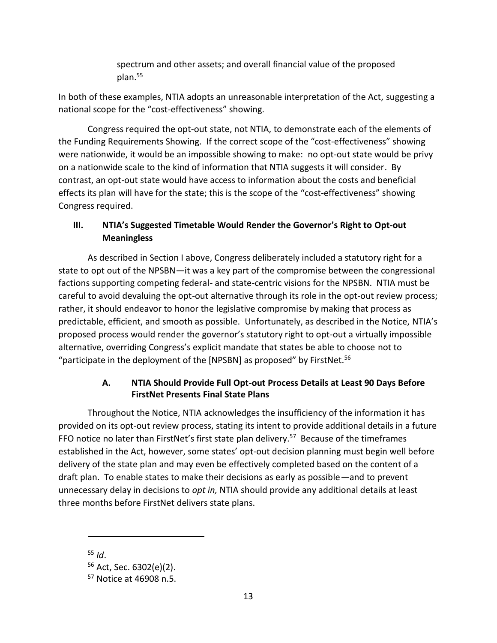spectrum and other assets; and overall financial value of the proposed plan.<sup>55</sup>

In both of these examples, NTIA adopts an unreasonable interpretation of the Act, suggesting a national scope for the "cost-effectiveness" showing.

Congress required the opt-out state, not NTIA, to demonstrate each of the elements of the Funding Requirements Showing. If the correct scope of the "cost-effectiveness" showing were nationwide, it would be an impossible showing to make: no opt-out state would be privy on a nationwide scale to the kind of information that NTIA suggests it will consider. By contrast, an opt-out state would have access to information about the costs and beneficial effects its plan will have for the state; this is the scope of the "cost-effectiveness" showing Congress required.

## **III. NTIA's Suggested Timetable Would Render the Governor's Right to Opt-out Meaningless**

As described in Section I above, Congress deliberately included a statutory right for a state to opt out of the NPSBN—it was a key part of the compromise between the congressional factions supporting competing federal- and state-centric visions for the NPSBN. NTIA must be careful to avoid devaluing the opt-out alternative through its role in the opt-out review process; rather, it should endeavor to honor the legislative compromise by making that process as predictable, efficient, and smooth as possible. Unfortunately, as described in the Notice, NTIA's proposed process would render the governor's statutory right to opt-out a virtually impossible alternative, overriding Congress's explicit mandate that states be able to choose not to "participate in the deployment of the [NPSBN] as proposed" by FirstNet.<sup>56</sup>

### **A. NTIA Should Provide Full Opt-out Process Details at Least 90 Days Before FirstNet Presents Final State Plans**

Throughout the Notice, NTIA acknowledges the insufficiency of the information it has provided on its opt-out review process, stating its intent to provide additional details in a future FFO notice no later than FirstNet's first state plan delivery.<sup>57</sup> Because of the timeframes established in the Act, however, some states' opt-out decision planning must begin well before delivery of the state plan and may even be effectively completed based on the content of a draft plan. To enable states to make their decisions as early as possible—and to prevent unnecessary delay in decisions to *opt in,* NTIA should provide any additional details at least three months before FirstNet delivers state plans.

<sup>55</sup> *Id*.

<sup>56</sup> Act, Sec. 6302(e)(2).

<sup>57</sup> Notice at 46908 n.5.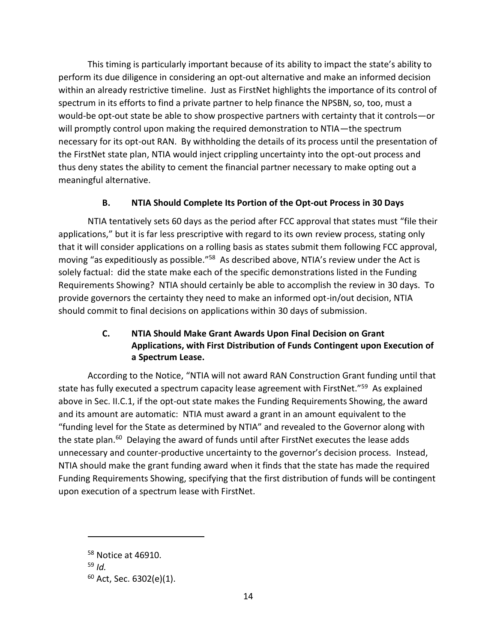This timing is particularly important because of its ability to impact the state's ability to perform its due diligence in considering an opt-out alternative and make an informed decision within an already restrictive timeline. Just as FirstNet highlights the importance of its control of spectrum in its efforts to find a private partner to help finance the NPSBN, so, too, must a would-be opt-out state be able to show prospective partners with certainty that it controls—or will promptly control upon making the required demonstration to NTIA—the spectrum necessary for its opt-out RAN. By withholding the details of its process until the presentation of the FirstNet state plan, NTIA would inject crippling uncertainty into the opt-out process and thus deny states the ability to cement the financial partner necessary to make opting out a meaningful alternative.

# **B. NTIA Should Complete Its Portion of the Opt-out Process in 30 Days**

NTIA tentatively sets 60 days as the period after FCC approval that states must "file their applications," but it is far less prescriptive with regard to its own review process, stating only that it will consider applications on a rolling basis as states submit them following FCC approval, moving "as expeditiously as possible."<sup>58</sup> As described above, NTIA's review under the Act is solely factual: did the state make each of the specific demonstrations listed in the Funding Requirements Showing? NTIA should certainly be able to accomplish the review in 30 days. To provide governors the certainty they need to make an informed opt-in/out decision, NTIA should commit to final decisions on applications within 30 days of submission.

# **C. NTIA Should Make Grant Awards Upon Final Decision on Grant Applications, with First Distribution of Funds Contingent upon Execution of a Spectrum Lease.**

According to the Notice, "NTIA will not award RAN Construction Grant funding until that state has fully executed a spectrum capacity lease agreement with FirstNet."<sup>59</sup> As explained above in Sec. II.C.1, if the opt-out state makes the Funding Requirements Showing, the award and its amount are automatic: NTIA must award a grant in an amount equivalent to the "funding level for the State as determined by NTIA" and revealed to the Governor along with the state plan.<sup>60</sup> Delaying the award of funds until after FirstNet executes the lease adds unnecessary and counter-productive uncertainty to the governor's decision process. Instead, NTIA should make the grant funding award when it finds that the state has made the required Funding Requirements Showing, specifying that the first distribution of funds will be contingent upon execution of a spectrum lease with FirstNet.

<sup>58</sup> Notice at 46910.

<sup>59</sup> *Id.*

<sup>60</sup> Act, Sec. 6302(e)(1).